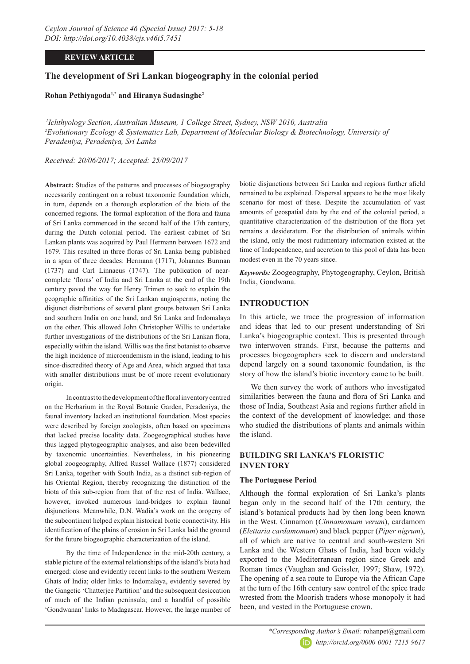# **REVIEW ARTICLE**

# **The development of Sri Lankan biogeography in the colonial period**

**Rohan Pethiyagoda1,\* and Hiranya Sudasinghe2**

 *1Ichthyology Section, Australian Museum, 1 College Street, Sydney, NSW 2010, Australia 2 Evolutionary Ecology & Systematics Lab, Department of Molecular Biology & Biotechnology, University of Peradeniya, Peradeniya, Sri Lanka*

*Received: 20/06/2017; Accepted: 25/09/2017*

**Abstract:** Studies of the patterns and processes of biogeography necessarily contingent on a robust taxonomic foundation which, in turn, depends on a thorough exploration of the biota of the concerned regions. The formal exploration of the flora and fauna of Sri Lanka commenced in the second half of the 17th century, during the Dutch colonial period. The earliest cabinet of Sri Lankan plants was acquired by Paul Hermann between 1672 and 1679. This resulted in three floras of Sri Lanka being published in a span of three decades: Hermann (1717), Johannes Burman (1737) and Carl Linnaeus (1747). The publication of nearcomplete 'floras' of India and Sri Lanka at the end of the 19th century paved the way for Henry Trimen to seek to explain the geographic affinities of the Sri Lankan angiosperms, noting the disjunct distributions of several plant groups between Sri Lanka and southern India on one hand, and Sri Lanka and Indomalaya on the other. This allowed John Christopher Willis to undertake further investigations of the distributions of the Sri Lankan flora, especially within the island. Willis was the first botanist to observe the high incidence of microendemism in the island, leading to his since-discredited theory of Age and Area, which argued that taxa with smaller distributions must be of more recent evolutionary origin.

In contrast to the development of the floral inventory centred on the Herbarium in the Royal Botanic Garden, Peradeniya, the faunal inventory lacked an institutional foundation. Most species were described by foreign zoologists, often based on specimens that lacked precise locality data. Zoogeographical studies have thus lagged phytogeographic analyses, and also been bedevilled by taxonomic uncertainties. Nevertheless, in his pioneering global zoogeography, Alfred Russel Wallace (1877) considered Sri Lanka, together with South India, as a distinct sub-region of his Oriental Region, thereby recognizing the distinction of the biota of this sub-region from that of the rest of India. Wallace, however, invoked numerous land-bridges to explain faunal disjunctions. Meanwhile, D.N. Wadia's work on the orogeny of the subcontinent helped explain historical biotic connectivity. His identification of the plains of erosion in Sri Lanka laid the ground for the future biogeographic characterization of the island.

By the time of Independence in the mid-20th century, a stable picture of the external relationships of the island's biota had emerged: close and evidently recent links to the southern Western Ghats of India; older links to Indomalaya, evidently severed by the Gangetic 'Chatterjee Partition' and the subsequent desiccation of much of the Indian peninsula; and a handful of possible 'Gondwanan' links to Madagascar. However, the large number of biotic disjunctions between Sri Lanka and regions further afield remained to be explained. Dispersal appears to be the most likely scenario for most of these. Despite the accumulation of vast amounts of geospatial data by the end of the colonial period, a quantitative characterization of the distribution of the flora yet remains a desideratum. For the distribution of animals within the island, only the most rudimentary information existed at the time of Independence, and accretion to this pool of data has been modest even in the 70 years since.

*Keywords:* Zoogeography, Phytogeography, Ceylon, British India, Gondwana.

# **INTRODUCTION**

In this article, we trace the progression of information and ideas that led to our present understanding of Sri Lanka's biogeographic context. This is presented through two interwoven strands. First, because the patterns and processes biogeographers seek to discern and understand depend largely on a sound taxonomic foundation, is the story of how the island's biotic inventory came to be built.

We then survey the work of authors who investigated similarities between the fauna and flora of Sri Lanka and those of India, Southeast Asia and regions further afield in the context of the development of knowledge; and those who studied the distributions of plants and animals within the island.

# **BUILDING SRI LANKA'S FLORISTIC INVENTORY**

## **The Portuguese Period**

Although the formal exploration of Sri Lanka's plants began only in the second half of the 17th century, the island's botanical products had by then long been known in the West. Cinnamon (*Cinnamomum verum*), cardamom (*Elettaria cardamomum*) and black pepper (*Piper nigrum*), all of which are native to central and south-western Sri Lanka and the Western Ghats of India, had been widely exported to the Mediterranean region since Greek and Roman times (Vaughan and Geissler, 1997; Shaw, 1972). The opening of a sea route to Europe via the African Cape at the turn of the 16th century saw control of the spice trade wrested from the Moorish traders whose monopoly it had been, and vested in the Portuguese crown.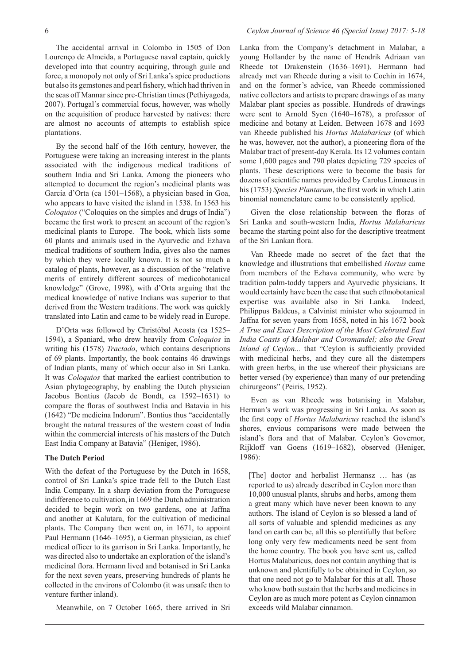The accidental arrival in Colombo in 1505 of Don Lourenço de Almeida, a Portuguese naval captain, quickly developed into that country acquiring, through guile and force, a monopoly not only of Sri Lanka's spice productions but also its gemstones and pearl fishery, which had thriven in the seas off Mannar since pre-Christian times (Pethiyagoda, 2007). Portugal's commercial focus, however, was wholly on the acquisition of produce harvested by natives: there are almost no accounts of attempts to establish spice plantations.

By the second half of the 16th century, however, the Portuguese were taking an increasing interest in the plants associated with the indigenous medical traditions of southern India and Sri Lanka. Among the pioneers who attempted to document the region's medicinal plants was Garcia d'Orta (ca 1501–1568), a physician based in Goa, who appears to have visited the island in 1538. In 1563 his *Coloquios* ("Coloquies on the simples and drugs of India") became the first work to present an account of the region's medicinal plants to Europe. The book, which lists some 60 plants and animals used in the Ayurvedic and Ezhava medical traditions of southern India, gives also the names by which they were locally known. It is not so much a catalog of plants, however, as a discussion of the "relative merits of entirely different sources of medicobotanical knowledge" (Grove, 1998), with d'Orta arguing that the medical knowledge of native Indians was superior to that derived from the Western traditions. The work was quickly translated into Latin and came to be widely read in Europe.

D'Orta was followed by Christóbal Acosta (ca 1525– 1594), a Spaniard, who drew heavily from *Coloquios* in writing his (1578) *Tractado*, which contains descriptions of 69 plants. Importantly, the book contains 46 drawings of Indian plants, many of which occur also in Sri Lanka. It was *Coloquios* that marked the earliest contribution to Asian phytogeography, by enabling the Dutch physician Jacobus Bontius (Jacob de Bondt, ca 1592–1631) to compare the floras of southwest India and Batavia in his (1642) "De medicina Indorum". Bontius thus "accidentally brought the natural treasures of the western coast of India within the commercial interests of his masters of the Dutch East India Company at Batavia" (Heniger, 1986).

### **The Dutch Period**

With the defeat of the Portuguese by the Dutch in 1658, control of Sri Lanka's spice trade fell to the Dutch East India Company. In a sharp deviation from the Portuguese indifference to cultivation, in 1669 the Dutch administration decided to begin work on two gardens, one at Jaffna and another at Kalutara, for the cultivation of medicinal plants. The Company then went on, in 1671, to appoint Paul Hermann (1646–1695), a German physician, as chief medical officer to its garrison in Sri Lanka. Importantly, he was directed also to undertake an exploration of the island's medicinal flora. Hermann lived and botanised in Sri Lanka for the next seven years, preserving hundreds of plants he collected in the environs of Colombo (it was unsafe then to venture further inland).

Meanwhile, on 7 October 1665, there arrived in Sri

Lanka from the Company's detachment in Malabar, a young Hollander by the name of Hendrik Adriaan van Rheede tot Drakenstein (1636–1691). Hermann had already met van Rheede during a visit to Cochin in 1674, and on the former's advice, van Rheede commissioned native collectors and artists to prepare drawings of as many Malabar plant species as possible. Hundreds of drawings were sent to Arnold Syen (1640–1678), a professor of medicine and botany at Leiden. Between 1678 and 1693 van Rheede published his *Hortus Malabaricus* (of which he was, however, not the author), a pioneering flora of the Malabar tract of present-day Kerala. Its 12 volumes contain some 1,600 pages and 790 plates depicting 729 species of plants. These descriptions were to become the basis for dozens of scientific names provided by Carolus Linnaeus in his (1753) *Species Plantarum*, the first work in which Latin binomial nomenclature came to be consistently applied.

Given the close relationship between the floras of Sri Lanka and south-western India, *Hortus Malabaricus* became the starting point also for the descriptive treatment of the Sri Lankan flora.

Van Rheede made no secret of the fact that the knowledge and illustrations that embellished *Hortus* came from members of the Ezhava community, who were by tradition palm-toddy tappers and Ayurvedic physicians. It would certainly have been the case that such ethnobotanical expertise was available also in Sri Lanka. Indeed, Philippus Baldeus, a Calvinist minister who sojourned in Jaffna for seven years from 1658, noted in his 1672 book *A True and Exact Description of the Most Celebrated East India Coasts of Malabar and Coromandel; also the Great Island of Ceylon...* that "Ceylon is sufficiently provided with medicinal herbs, and they cure all the distempers with green herbs, in the use whereof their physicians are better versed (by experience) than many of our pretending chirurgeons" (Peiris, 1952).

Even as van Rheede was botanising in Malabar, Herman's work was progressing in Sri Lanka. As soon as the first copy of *Hortus Malabaricus* reached the island's shores, envious comparisons were made between the island's flora and that of Malabar. Ceylon's Governor, Rijkloff van Goens (1619–1682), observed (Heniger, 1986):

[The] doctor and herbalist Hermansz … has (as reported to us) already described in Ceylon more than 10,000 unusual plants, shrubs and herbs, among them a great many which have never been known to any authors. The island of Ceylon is so blessed a land of all sorts of valuable and splendid medicines as any land on earth can be, all this so plentifully that before long only very few medicaments need be sent from the home country. The book you have sent us, called Hortus Malabaricus, does not contain anything that is unknown and plentifully to be obtained in Ceylon, so that one need not go to Malabar for this at all. Those who know both sustain that the herbs and medicines in Ceylon are as much more potent as Ceylon cinnamon exceeds wild Malabar cinnamon.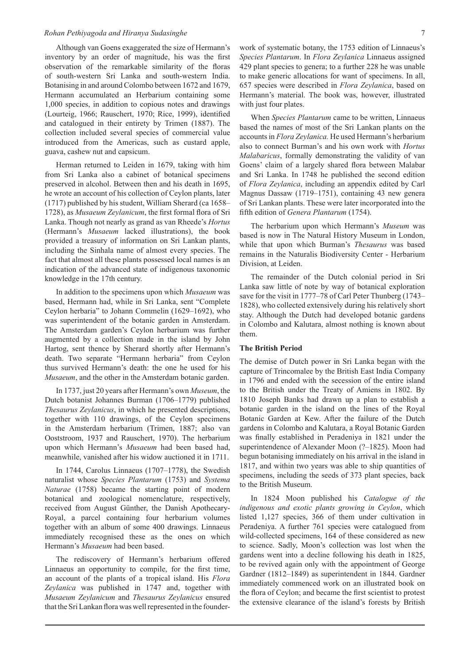Although van Goens exaggerated the size of Hermann's inventory by an order of magnitude, his was the first observation of the remarkable similarity of the floras of south-western Sri Lanka and south-western India. Botanising in and around Colombo between 1672 and 1679, Hermann accumulated an Herbarium containing some 1,000 species, in addition to copious notes and drawings (Lourteig, 1966; Rauschert, 1970; Rice, 1999), identified and catalogued in their entirety by Trimen (1887). The collection included several species of commercial value introduced from the Americas, such as custard apple, guava, cashew nut and capsicum.

Herman returned to Leiden in 1679, taking with him from Sri Lanka also a cabinet of botanical specimens preserved in alcohol. Between then and his death in 1695, he wrote an account of his collection of Ceylon plants, later (1717) published by his student, William Sherard (ca 1658– 1728), as *Musaeum Zeylanicum*, the first formal flora of Sri Lanka. Though not nearly as grand as van Rheede's *Hortus* (Hermann's *Musaeum* lacked illustrations), the book provided a treasury of information on Sri Lankan plants, including the Sinhala name of almost every species. The fact that almost all these plants possessed local names is an indication of the advanced state of indigenous taxonomic knowledge in the 17th century.

In addition to the specimens upon which *Musaeum* was based, Hermann had, while in Sri Lanka, sent "Complete Ceylon herbaria" to Johann Commelin (1629–1692), who was superintendent of the botanic garden in Amsterdam. The Amsterdam garden's Ceylon herbarium was further augmented by a collection made in the island by John Hartog, sent thence by Sherard shortly after Hermann's death. Two separate "Hermann herbaria" from Ceylon thus survived Hermann's death: the one he used for his *Musaeum*, and the other in the Amsterdam botanic garden.

In 1737, just 20 years after Hermann's own *Museum*, the Dutch botanist Johannes Burman (1706–1779) published *Thesaurus Zeylanicus*, in which he presented descriptions, together with 110 drawings, of the Ceylon specimens in the Amsterdam herbarium (Trimen, 1887; also van Ooststroom, 1937 and Rauschert, 1970). The herbarium upon which Hermann's *Musaeum* had been based had, meanwhile, vanished after his widow auctioned it in 1711.

In 1744, Carolus Linnaeus (1707–1778), the Swedish naturalist whose *Species Plantarum* (1753) and *Systema Naturae* (1758) became the starting point of modern botanical and zoological nomenclature, respectively, received from August Günther, the Danish Apothecary-Royal, a parcel containing four herbarium volumes together with an album of some 400 drawings. Linnaeus immediately recognised these as the ones on which Hermann's *Musaeum* had been based.

The rediscovery of Hermann's herbarium offered Linnaeus an opportunity to compile, for the first time, an account of the plants of a tropical island. His *Flora Zeylanica* was published in 1747 and, together with *Musaeum Zeylanicum* and *Thesaurus Zeylanicus* ensured that the Sri Lankan flora was well represented in the founderwork of systematic botany, the 1753 edition of Linnaeus's *Species Plantarum*. In *Flora Zeylanica* Linnaeus assigned 429 plant species to genera; to a further 228 he was unable to make generic allocations for want of specimens. In all, 657 species were described in *Flora Zeylanica*, based on Hermann's material. The book was, however, illustrated with just four plates.

When *Species Plantarum* came to be written, Linnaeus based the names of most of the Sri Lankan plants on the accounts in *Flora Zeylanica.* He used Hermann's herbarium also to connect Burman's and his own work with *Hortus Malabaricus*, formally demonstrating the validity of van Goens' claim of a largely shared flora between Malabar and Sri Lanka. In 1748 he published the second edition of *Flora Zeylanica*, including an appendix edited by Carl Magnus Dassaw (1719–1751), containing 43 new genera of Sri Lankan plants. These were later incorporated into the fifth edition of *Genera Plantarum* (1754).

The herbarium upon which Hermann's *Museum* was based is now in The Natural History Museum in London, while that upon which Burman's *Thesaurus* was based remains in the Naturalis Biodiversity Center - Herbarium Division, at Leiden.

The remainder of the Dutch colonial period in Sri Lanka saw little of note by way of botanical exploration save for the visit in 1777–78 of Carl Peter Thunberg (1743– 1828), who collected extensively during his relatively short stay. Although the Dutch had developed botanic gardens in Colombo and Kalutara, almost nothing is known about them.

### **The British Period**

The demise of Dutch power in Sri Lanka began with the capture of Trincomalee by the British East India Company in 1796 and ended with the secession of the entire island to the British under the Treaty of Amiens in 1802. By 1810 Joseph Banks had drawn up a plan to establish a botanic garden in the island on the lines of the Royal Botanic Garden at Kew. After the failure of the Dutch gardens in Colombo and Kalutara, a Royal Botanic Garden was finally established in Peradeniya in 1821 under the superintendence of Alexander Moon (?–1825). Moon had begun botanising immediately on his arrival in the island in 1817, and within two years was able to ship quantities of specimens, including the seeds of 373 plant species, back to the British Museum.

In 1824 Moon published his *Catalogue of the indigenous and exotic plants growing in Ceylon*, which listed 1,127 species, 366 of them under cultivation in Peradeniya. A further 761 species were catalogued from wild-collected specimens, 164 of these considered as new to science. Sadly, Moon's collection was lost when the gardens went into a decline following his death in 1825, to be revived again only with the appointment of George Gardner (1812–1849) as superintendent in 1844. Gardner immediately commenced work on an illustrated book on the flora of Ceylon; and became the first scientist to protest the extensive clearance of the island's forests by British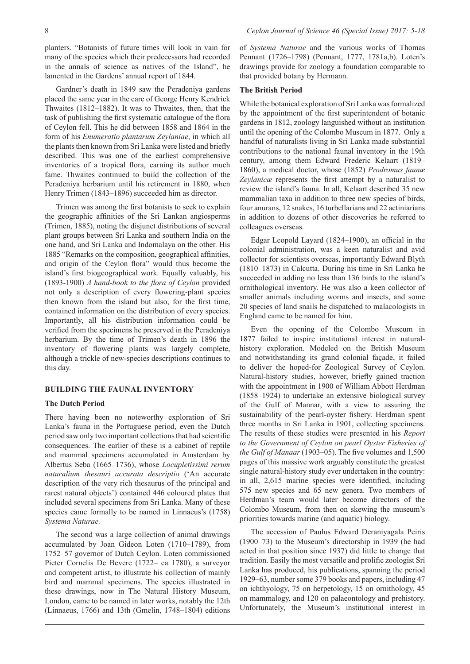planters. "Botanists of future times will look in vain for many of the species which their predecessors had recorded in the annals of science as natives of the Island", he lamented in the Gardens' annual report of 1844.

Gardner's death in 1849 saw the Peradeniya gardens placed the same year in the care of George Henry Kendrick Thwaites (1812–1882). It was to Thwaites, then, that the task of publishing the first systematic catalogue of the flora of Ceylon fell. This he did between 1858 and 1864 in the form of his *Enumeratio plantarum Zeylaniae*, in which all the plants then known from Sri Lanka were listed and briefly described. This was one of the earliest comprehensive inventories of a tropical flora, earning its author much fame. Thwaites continued to build the collection of the Peradeniya herbarium until his retirement in 1880, when Henry Trimen (1843–1896) succeeded him as director.

Trimen was among the first botanists to seek to explain the geographic affinities of the Sri Lankan angiosperms (Trimen, 1885), noting the disjunct distributions of several plant groups between Sri Lanka and southern India on the one hand, and Sri Lanka and Indomalaya on the other. His 1885 "Remarks on the composition, geographical affinities, and origin of the Ceylon flora" would thus become the island's first biogeographical work. Equally valuably, his (1893-1900) *A hand-book to the flora of Ceylon* provided not only a description of every flowering-plant species then known from the island but also, for the first time, contained information on the distribution of every species. Importantly, all his distribution information could be verified from the specimens he preserved in the Peradeniya herbarium. By the time of Trimen's death in 1896 the inventory of flowering plants was largely complete, although a trickle of new-species descriptions continues to this day.

#### **BUILDING THE FAUNAL INVENTORY**

### **The Dutch Period**

There having been no noteworthy exploration of Sri Lanka's fauna in the Portuguese period, even the Dutch period saw only two important collections that had scientific consequences. The earlier of these is a cabinet of reptile and mammal specimens accumulated in Amsterdam by Albertus Seba (1665–1736), whose *Locupletissimi rerum naturalium thesauri accurata descriptio* ('An accurate description of the very rich thesaurus of the principal and rarest natural objects') contained 446 coloured plates that included several specimens from Sri Lanka. Many of these species came formally to be named in Linnaeus's (1758) *Systema Naturae.*

The second was a large collection of animal drawings accumulated by Joan Gideon Loten (1710–1789), from 1752–57 governor of Dutch Ceylon. Loten commissioned Pieter Cornelis De Bevere (1722– ca 1780), a surveyor and competent artist, to illustrate his collection of mainly bird and mammal specimens. The species illustrated in these drawings, now in The Natural History Museum, London, came to be named in later works, notably the 12th (Linnaeus, 1766) and 13th (Gmelin, 1748–1804) editions

of *Systema Naturae* and the various works of Thomas Pennant (1726–1798) (Pennant, 1777, 1781a,b). Loten's drawings provide for zoology a foundation comparable to that provided botany by Hermann.

#### **The British Period**

While the botanical exploration of Sri Lanka was formalized by the appointment of the first superintendent of botanic gardens in 1812, zoology languished without an institution until the opening of the Colombo Museum in 1877. Only a handful of naturalists living in Sri Lanka made substantial contributions to the national faunal inventory in the 19th century, among them Edward Frederic Kelaart (1819– 1860), a medical doctor, whose (1852) *Prodromus faunæ Zeylanicæ* represents the first attempt by a naturalist to review the island's fauna. In all, Kelaart described 35 new mammalian taxa in addition to three new species of birds, four anurans, 12 snakes, 16 turbellarians and 22 actiniarians in addition to dozens of other discoveries he referred to colleagues overseas.

Edgar Leopold Layard (1824–1900), an official in the colonial administration, was a keen naturalist and avid collector for scientists overseas, importantly Edward Blyth (1810–1873) in Calcutta. During his time in Sri Lanka he succeeded in adding no less than 136 birds to the island's ornithological inventory. He was also a keen collector of smaller animals including worms and insects, and some 20 species of land snails he dispatched to malacologists in England came to be named for him.

Even the opening of the Colombo Museum in 1877 failed to inspire institutional interest in naturalhistory exploration. Modeled on the British Museum and notwithstanding its grand colonial façade, it failed to deliver the hoped-for Zoological Survey of Ceylon. Natural-history studies, however, briefly gained traction with the appointment in 1900 of William Abbott Herdman (1858–1924) to undertake an extensive biological survey of the Gulf of Mannar, with a view to assuring the sustainability of the pearl-oyster fishery. Herdman spent three months in Sri Lanka in 1901, collecting specimens. The results of these studies were presented in his *Report to the Government of Ceylon on pearl Oyster Fisheries of the Gulf of Manaar* (1903–05). The five volumes and 1,500 pages of this massive work arguably constitute the greatest single natural-history study ever undertaken in the country: in all, 2,615 marine species were identified, including 575 new species and 65 new genera. Two members of Herdman's team would later become directors of the Colombo Museum, from then on skewing the museum's priorities towards marine (and aquatic) biology.

The accession of Paulus Edward Deraniyagala Peiris (1900–73) to the Museum's directorship in 1939 (he had acted in that position since 1937) did little to change that tradition. Easily the most versatile and prolific zoologist Sri Lanka has produced, his publications, spanning the period 1929–63, number some 379 books and papers, including 47 on ichthyology, 75 on herpetology, 15 on ornithology, 45 on mammalogy, and 120 on palaeontology and prehistory. Unfortunately, the Museum's institutional interest in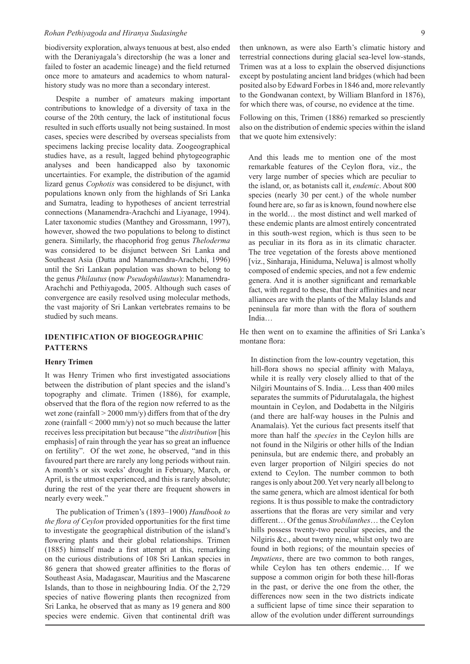biodiversity exploration, always tenuous at best, also ended with the Deraniyagala's directorship (he was a loner and failed to foster an academic lineage) and the field returned once more to amateurs and academics to whom naturalhistory study was no more than a secondary interest.

Despite a number of amateurs making important contributions to knowledge of a diversity of taxa in the course of the 20th century, the lack of institutional focus resulted in such efforts usually not being sustained. In most cases, species were described by overseas specialists from specimens lacking precise locality data. Zoogeographical studies have, as a result, lagged behind phytogeographic analyses and been handicapped also by taxonomic uncertainties. For example, the distribution of the agamid lizard genus *Cophotis* was considered to be disjunct, with populations known only from the highlands of Sri Lanka and Sumatra, leading to hypotheses of ancient terrestrial connections (Manamendra-Arachchi and Liyanage, 1994). Later taxonomic studies (Manthey and Grossmann, 1997), however, showed the two populations to belong to distinct genera. Similarly, the rhacophorid frog genus *Theloderma* was considered to be disjunct between Sri Lanka and Southeast Asia (Dutta and Manamendra-Arachchi, 1996) until the Sri Lankan population was shown to belong to the genus *Philautus* (now *Pseudophilautus*): Manamendra-Arachchi and Pethiyagoda, 2005. Although such cases of convergence are easily resolved using molecular methods, the vast majority of Sri Lankan vertebrates remains to be studied by such means.

# **IDENTIFICATION OF BIOGEOGRAPHIC PATTERNS**

#### **Henry Trimen**

It was Henry Trimen who first investigated associations between the distribution of plant species and the island's topography and climate. Trimen (1886), for example, observed that the flora of the region now referred to as the wet zone (rainfall  $>$  2000 mm/y) differs from that of the dry zone (rainfall < 2000 mm/y) not so much because the latter receives less precipitation but because "the *distribution* [his emphasis] of rain through the year has so great an influence on fertility". Of the wet zone, he observed, "and in this favoured part there are rarely any long periods without rain. A month's or six weeks' drought in February, March, or April, is the utmost experienced, and this is rarely absolute; during the rest of the year there are frequent showers in nearly every week."

The publication of Trimen's (1893–1900) *Handbook to the flora of Ceylon* provided opportunities for the first time to investigate the geographical distribution of the island's flowering plants and their global relationships. Trimen (1885) himself made a first attempt at this, remarking on the curious distributions of 108 Sri Lankan species in 86 genera that showed greater affinities to the floras of Southeast Asia, Madagascar, Mauritius and the Mascarene Islands, than to those in neighbouring India. Of the 2,729 species of native flowering plants then recognized from Sri Lanka, he observed that as many as 19 genera and 800 species were endemic. Given that continental drift was

then unknown, as were also Earth's climatic history and terrestrial connections during glacial sea-level low-stands, Trimen was at a loss to explain the observed disjunctions except by postulating ancient land bridges (which had been posited also by Edward Forbes in 1846 and, more relevantly to the Gondwanan context, by William Blanford in 1876), for which there was, of course, no evidence at the time.

Following on this, Trimen (1886) remarked so presciently also on the distribution of endemic species within the island that we quote him extensively:

And this leads me to mention one of the most remarkable features of the Ceylon flora, viz., the very large number of species which are peculiar to the island, or, as botanists call it, *endemic*. About 800 species (nearly 30 per cent.) of the whole number found here are, so far as is known, found nowhere else in the world… the most distinct and well marked of these endemic plants are almost entirely concentrated in this south-west region, which is thus seen to be as peculiar in its flora as in its climatic character. The tree vegetation of the forests above mentioned [viz., Sinharaja, Hiniduma, Neluwa] is almost wholly composed of endemic species, and not a few endemic genera. And it is another significant and remarkable fact, with regard to these, that their affinities and near alliances are with the plants of the Malay Islands and peninsula far more than with the flora of southern India…

He then went on to examine the affinities of Sri Lanka's montane flora:

In distinction from the low-country vegetation, this hill-flora shows no special affinity with Malaya, while it is really very closely allied to that of the Nilgiri Mountains of S. India… Less than 400 miles separates the summits of Pidurutalagala, the highest mountain in Ceylon, and Dodabetta in the Nilgiris (and there are half-way houses in the Pulnis and Anamalais). Yet the curious fact presents itself that more than half the *species* in the Ceylon hills are not found in the Nilgiris or other hills of the Indian peninsula, but are endemic there, and probably an even larger proportion of Nilgiri species do not extend to Ceylon. The number common to both ranges is only about 200. Yet very nearly all belong to the same genera, which are almost identical for both regions. It is thus possible to make the contradictory assertions that the floras are very similar and very different… Of the genus *Strobilanthes*… the Ceylon hills possess twenty-two peculiar species, and the Nilgiris &c., about twenty nine, whilst only two are found in both regions; of the mountain species of *Impatiens*, there are two common to both ranges, while Ceylon has ten others endemic… If we suppose a common origin for both these hill-floras in the past, or derive the one from the other, the differences now seen in the two districts indicate a sufficient lapse of time since their separation to allow of the evolution under different surroundings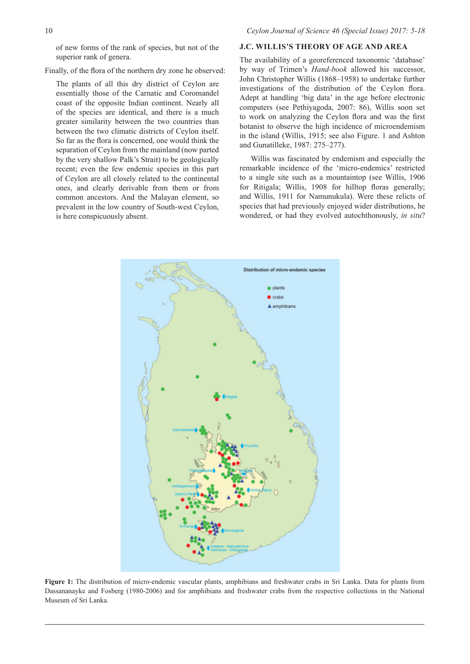of new forms of the rank of species, but not of the superior rank of genera.

Finally, of the flora of the northern dry zone he observed:

The plants of all this dry district of Ceylon are essentially those of the Carnatic and Coromandel coast of the opposite Indian continent. Nearly all of the species are identical, and there is a much greater similarity between the two countries than between the two climatic districts of Ceylon itself. So far as the flora is concerned, one would think the separation of Ceylon from the mainland (now parted by the very shallow Palk's Strait) to be geologically recent; even the few endemic species in this part of Ceylon are all closely related to the continental ones, and clearly derivable from them or from common ancestors. And the Malayan element, so prevalent in the low country of South-west Ceylon, is here conspicuously absent.

# **J.C. WILLIS'S THEORY OF AGE AND AREA**

The availability of a georeferenced taxonomic 'database' by way of Trimen's *Hand-book* allowed his successor, John Christopher Willis (1868–1958) to undertake further investigations of the distribution of the Ceylon flora. Adept at handling 'big data' in the age before electronic computers (see Pethiyagoda, 2007: 86), Willis soon set to work on analyzing the Ceylon flora and was the first botanist to observe the high incidence of microendemism in the island (Willis, 1915; see also Figure. 1 and Ashton and Gunatilleke, 1987: 275–277).

Willis was fascinated by endemism and especially the remarkable incidence of the 'micro-endemics' restricted to a single site such as a mountaintop (see Willis, 1906 for Ritigala; Willis, 1908 for hilltop floras generally; and Willis, 1911 for Namunukula). Were these relicts of species that had previously enjoyed wider distributions, he wondered, or had they evolved autochthonously, *in situ*?



**Figure 1:** The distribution of micro-endemic vascular plants, amphibians and freshwater crabs in Sri Lanka. Data for plants from Dassananayke and Fosberg (1980-2006) and for amphibians and freshwater crabs from the respective collections in the National Museum of Sri Lanka.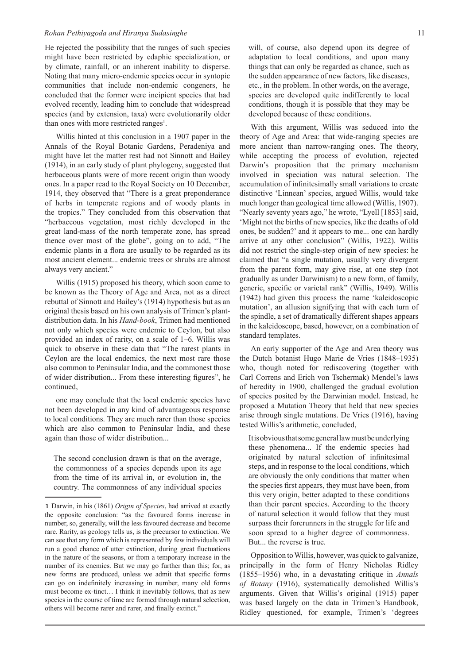He rejected the possibility that the ranges of such species might have been restricted by edaphic specialization, or by climate, rainfall, or an inherent inability to disperse. Noting that many micro-endemic species occur in syntopic communities that include non-endemic congeners, he concluded that the former were incipient species that had evolved recently, leading him to conclude that widespread species (and by extension, taxa) were evolutionarily older than ones with more restricted ranges<sup>1</sup>.

Willis hinted at this conclusion in a 1907 paper in the Annals of the Royal Botanic Gardens, Peradeniya and might have let the matter rest had not Sinnott and Bailey (1914), in an early study of plant phylogeny, suggested that herbaceous plants were of more recent origin than woody ones. In a paper read to the Royal Society on 10 December, 1914, they observed that "There is a great preponderance of herbs in temperate regions and of woody plants in the tropics." They concluded from this observation that "herbaceous vegetation, most richly developed in the great land-mass of the north temperate zone, has spread thence over most of the globe", going on to add, "The endemic plants in a flora are usually to be regarded as its most ancient element... endemic trees or shrubs are almost always very ancient."

Willis (1915) proposed his theory, which soon came to be known as the Theory of Age and Area, not as a direct rebuttal of Sinnott and Bailey's (1914) hypothesis but as an original thesis based on his own analysis of Trimen's plantdistribution data. In his *Hand-book*, Trimen had mentioned not only which species were endemic to Ceylon, but also provided an index of rarity, on a scale of 1–6. Willis was quick to observe in these data that "The rarest plants in Ceylon are the local endemics, the next most rare those also common to Peninsular India, and the commonest those of wider distribution... From these interesting figures", he continued,

one may conclude that the local endemic species have not been developed in any kind of advantageous response to local conditions. They are much rarer than those species which are also common to Peninsular India, and these again than those of wider distribution...

The second conclusion drawn is that on the average, the commonness of a species depends upon its age from the time of its arrival in, or evolution in, the country. The commonness of any individual species

will, of course, also depend upon its degree of adaptation to local conditions, and upon many things that can only be regarded as chance, such as the sudden appearance of new factors, like diseases, etc., in the problem. In other words, on the average, species are developed quite indifferently to local conditions, though it is possible that they may be developed because of these conditions.

With this argument, Willis was seduced into the theory of Age and Area: that wide-ranging species are more ancient than narrow-ranging ones. The theory, while accepting the process of evolution, rejected Darwin's proposition that the primary mechanism involved in speciation was natural selection. The accumulation of infinitesimally small variations to create distinctive 'Linnean' species, argued Willis, would take much longer than geological time allowed (Willis, 1907). "Nearly seventy years ago," he wrote, "Lyell [1853] said, 'Might not the births of new species, like the deaths of old ones, be sudden?' and it appears to me... one can hardly arrive at any other conclusion" (Willis, 1922). Willis did not restrict the single-step origin of new species: he claimed that "a single mutation, usually very divergent from the parent form, may give rise, at one step (not gradually as under Darwinism) to a new form, of family, generic, specific or varietal rank" (Willis, 1949). Willis (1942) had given this process the name 'kaleidoscopic mutation', an allusion signifying that with each turn of the spindle, a set of dramatically different shapes appears in the kaleidoscope, based, however, on a combination of standard templates.

An early supporter of the Age and Area theory was the Dutch botanist Hugo Marie de Vries (1848–1935) who, though noted for rediscovering (together with Carl Correns and Erich von Tschermak) Mendel's laws of heredity in 1900, challenged the gradual evolution of species posited by the Darwinian model. Instead, he proposed a Mutation Theory that held that new species arise through single mutations. De Vries (1916), having tested Willis's arithmetic, concluded,

It is obvious that some general law must be underlying these phenomena... If the endemic species had originated by natural selection of infinitesimal steps, and in response to the local conditions, which are obviously the only conditions that matter when the species first appears, they must have been, from this very origin, better adapted to these conditions than their parent species. According to the theory of natural selection it would follow that they must surpass their forerunners in the struggle for life and soon spread to a higher degree of commonness. But... the reverse is true.

Opposition to Willis, however, was quick to galvanize, principally in the form of Henry Nicholas Ridley (1855–1956) who, in a devastating critique in *Annals of Botany* (1916), systematically demolished Willis's arguments. Given that Willis's original (1915) paper was based largely on the data in Trimen's Handbook, Ridley questioned, for example, Trimen's 'degrees

<sup>1</sup> Darwin, in his (1861) *Origin of Species*, had arrived at exactly the opposite conclusion: "as the favoured forms increase in number, so, generally, will the less favoured decrease and become rare. Rarity, as geology tells us, is the precursor to extinction. We can see that any form which is represented by few individuals will run a good chance of utter extinction, during great fluctuations in the nature of the seasons, or from a temporary increase in the number of its enemies. But we may go further than this; for, as new forms are produced, unless we admit that specific forms can go on indefinitely increasing in number, many old forms must become ex-tinct… I think it inevitably follows, that as new species in the course of time are formed through natural selection, others will become rarer and rarer, and finally extinct."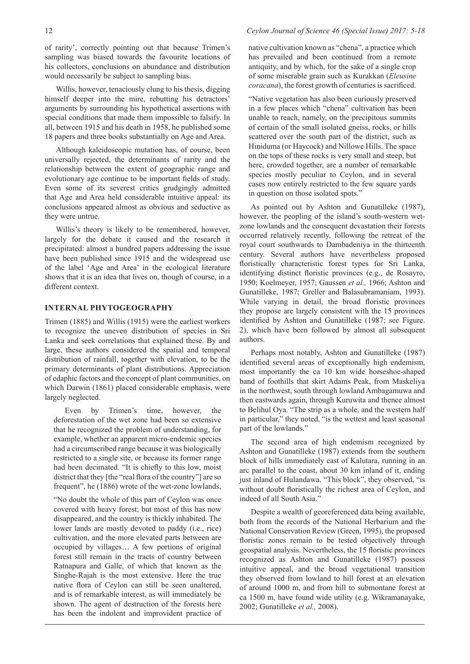of rarity', correctly pointing out that because Trimen's sampling was biased towards the favourite locations of his collectors, conclusions on abundance and distribution would necessarily be subject to sampling bias.

Willis, however, tenaciously clung to his thesis, digging himself deeper into the mire, rebutting his detractors' arguments by surrounding his hypothetical assertions with special conditions that made them impossible to falsify. In all, between 1915 and his death in 1958, he published some 18 papers and three books substantially on Age and Area.

Although kaleidoscopic mutation has, of course, been universally rejected, the determinants of rarity and the relationship between the extent of geographic range and evolutionary age continue to be important fields of study. Even some of its severest critics grudgingly admitted that Age and Area held considerable intuitive appeal: its conclusions appeared almost as obvious and seductive as they were untrue.

Willis's theory is likely to be remembered, however, largely for the debate it caused and the research it precipitated: almost a hundred papers addressing the issue have been published since 1915 and the widespread use of the label 'Age and Area' in the ecological literature shows that it is an idea that lives on, though of course, in a different context.

## **INTERNAL PHYTOGEOGRAPHY**

Trimen (1885) and Willis (1915) were the earliest workers to recognize the uneven distribution of species in Sri Lanka and seek correlations that explained these. By and large, these authors considered the spatial and temporal distribution of rainfall, together with elevation, to be the primary determinants of plant distributions. Appreciation of edaphic factors and the concept of plant communities, on which Darwin (1861) placed considerable emphasis, were largely neglected.

Even by Trimen's time, however, the deforestation of the wet zone had been so extensive that he recognized the problem of understanding, for example, whether an apparent micro-endemic species had a circumscribed range because it was biologically restricted to a single site, or because its former range had been decimated. "It is chiefly to this low, moist district that they [the "real flora of the country"] are so frequent", he (1886) wrote of the wet-zone lowlands,

"No doubt the whole of this part of Ceylon was once covered with heavy forest; but most of this has now disappeared, and the country is thickly inhabited. The lower lands are mostly devoted to paddy (i.e., rice) cultivation, and the more elevated parts between are occupied by villages… A few portions of original forest still remain in the tracts of country between Ratnapura and Galle, of which that known as the Singhe-Rajah is the most extensive. Here the true native flora of Ceylon can still be seen unaltered, and is of remarkable interest, as will immediately be shown. The agent of destruction of the forests here has been the indolent and improvident practice of

# 12 *Ceylon Journal of Science 46 (Special Issue) 2017: 5-18*

native cultivation known as "chena", a practice which has prevailed and been continued from a remote antiquity, and by which, for the sake of a single crop of some miserable grain such as Kurakkan (*Eleusine coracana*), the forest growth of centuries is sacrificed.

"Native vegetation has also been curiously preserved in a few places which "chena" cultivation has been unable to reach, namely, on the precipitous summits of certain of the small isolated gneiss, rocks, or hills scattered over the south part of the district, such as Hiniduma (or Haycock) and Nillowe Hills. The space on the tops of these rocks is very small and steep, but here, crowded together, are a number of remarkable species mostly peculiar to Ceylon, and in several cases now entirely restricted to the few square yards in question on those isolated spots."

As pointed out by Ashton and Gunatilleke (1987), however, the peopling of the island's south-western wetzone lowlands and the consequent devastation their forests occurred relatively recently, following the retreat of the royal court southwards to Dambadeniya in the thirteenth century. Several authors have nevertheless proposed floristically characteristic forest types for Sri Lanka, identifying distinct floristic provinces (e.g., de Rosayro, 1950; Koelmeyer, 1957; Gaussen *et al.,* 1966; Ashton and Gunatilleke, 1987; Greller and Balasubramaniam, 1993). While varying in detail, the broad floristic provinces they propose are largely consistent with the 15 provinces identified by Ashton and Gunatilleke (1987; see Figure. 2), which have been followed by almost all subsequent authors.

Perhaps most notably, Ashton and Gunatilleke (1987) identified several areas of exceptionally high endemism, most importantly the ca 10 km wide horseshoe-shaped band of foothills that skirt Adams Peak, from Maskeliya in the northwest, south through lowland Ambagamuwa and then eastwards again, through Kuruwita and thence almost to Belihul Oya. "The strip as a whole, and the western half in particular," they noted, "is the wettest and least seasonal part of the lowlands."

The second area of high endemism recognized by Ashton and Gunatilleke (1987) extends from the southern block of hills immediately east of Kalutara, running in an arc parallel to the coast, about 30 km inland of it, ending just inland of Hulandawa. "This block", they observed, "is without doubt floristically the richest area of Ceylon, and indeed of all South Asia."

Despite a wealth of georeferenced data being available, both from the records of the National Herbarium and the National Conservation Review (Green, 1995), the proposed floristic zones remain to be tested objectively through geospatial analysis. Nevertheless, the 15 floristic provinces recognized as Ashton and Gunatilleke (1987) possess intuitive appeal, and the broad vegetational transition they observed from lowland to hill forest at an elevation of around 1000 m, and from hill to submontane forest at ca 1500 m, have found wide utility (e.g. Wikramanayake, 2002; Gunatilleke *et al.,* 2008).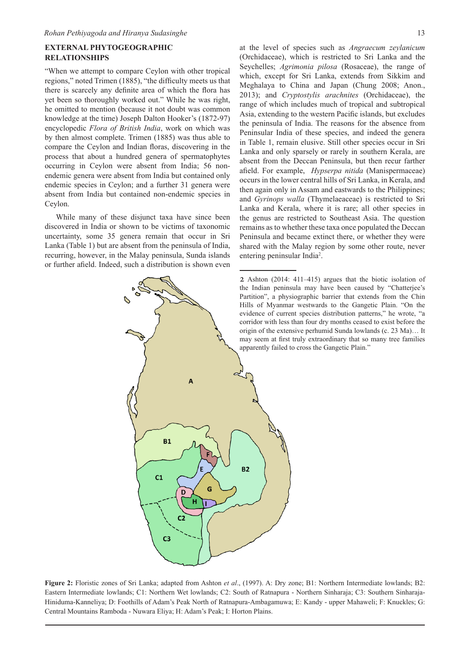# **EXTERNAL PHYTOGEOGRAPHIC RELATIONSHIPS**

"When we attempt to compare Ceylon with other tropical regions," noted Trimen (1885), "the difficulty meets us that there is scarcely any definite area of which the flora has yet been so thoroughly worked out." While he was right, he omitted to mention (because it not doubt was common knowledge at the time) Joseph Dalton Hooker's (1872-97) encyclopedic *Flora of British India*, work on which was by then almost complete. Trimen (1885) was thus able to compare the Ceylon and Indian floras, discovering in the process that about a hundred genera of spermatophytes occurring in Ceylon were absent from India; 56 nonendemic genera were absent from India but contained only endemic species in Ceylon; and a further 31 genera were absent from India but contained non-endemic species in Ceylon.

While many of these disjunct taxa have since been discovered in India or shown to be victims of taxonomic uncertainty, some 35 genera remain that occur in Sri Lanka (Table 1) but are absent from the peninsula of India, recurring, however, in the Malay peninsula, Sunda islands or further afield. Indeed, such a distribution is shown even

Δ

G

D

**B1** 

C<sub>3</sub>

 $C<sub>1</sub>$ 

at the level of species such as *Angraecum zeylanicum*  (Orchidaceae), which is restricted to Sri Lanka and the Seychelles; *Agrimonia pilosa* (Rosaceae), the range of which, except for Sri Lanka, extends from Sikkim and Meghalaya to China and Japan (Chung 2008; Anon., 2013); and *Cryptostylis arachnites* (Orchidaceae), the range of which includes much of tropical and subtropical Asia, extending to the western Pacific islands, but excludes the peninsula of India. The reasons for the absence from Peninsular India of these species, and indeed the genera in Table 1, remain elusive. Still other species occur in Sri Lanka and only sparsely or rarely in southern Kerala, are absent from the Deccan Peninsula, but then recur farther afield. For example, *Hypserpa nitida* (Manispermaceae) occurs in the lower central hills of Sri Lanka, in Kerala, and then again only in Assam and eastwards to the Philippines; and *Gyrinops walla* (Thymelaeaceae) is restricted to Sri Lanka and Kerala, where it is rare; all other species in the genus are restricted to Southeast Asia. The question remains as to whether these taxa once populated the Deccan Peninsula and became extinct there, or whether they were shared with the Malay region by some other route, never entering peninsular India<sup>2</sup>.



13

**Figure 2:** Floristic zones of Sri Lanka; adapted from Ashton *et al*., (1997). A: Dry zone; B1: Northern Intermediate lowlands; B2: Eastern Intermediate lowlands; C1: Northern Wet lowlands; C2: South of Ratnapura - Northern Sinharaja; C3: Southern Sinharaja-Hiniduma-Kanneliya; D: Foothills of Adam's Peak North of Ratnapura-Ambagamuwa; E: Kandy - upper Mahaweli; F: Knuckles; G: Central Mountains Ramboda - Nuwara Eliya; H: Adam's Peak; I: Horton Plains.

 $B<sub>2</sub>$ 

<sup>2</sup> Ashton (2014: 411–415) argues that the biotic isolation of the Indian peninsula may have been caused by "Chatterjee's Partition", a physiographic barrier that extends from the Chin Hills of Myanmar westwards to the Gangetic Plain. "On the evidence of current species distribution patterns," he wrote, "a corridor with less than four dry months ceased to exist before the origin of the extensive perhumid Sunda lowlands (c. 23 Ma)… It may seem at first truly extraordinary that so many tree families apparently failed to cross the Gangetic Plain."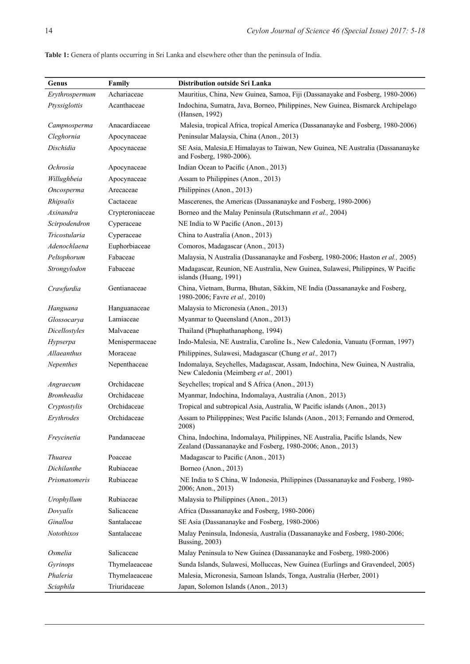| Genus             | Family          | Distribution outside Sri Lanka                                                                                                              |
|-------------------|-----------------|---------------------------------------------------------------------------------------------------------------------------------------------|
| Erythrospermum    | Achariaceae     | Mauritius, China, New Guinea, Samoa, Fiji (Dassanayake and Fosberg, 1980-2006)                                                              |
| Ptyssiglottis     | Acanthaceae     | Indochina, Sumatra, Java, Borneo, Philippines, New Guinea, Bismarck Archipelago<br>(Hansen, 1992)                                           |
| Campnosperma      | Anacardiaceae   | Malesia, tropical Africa, tropical America (Dassananayke and Fosberg, 1980-2006)                                                            |
| Cleghornia        | Apocynaceae     | Peninsular Malaysia, China (Anon., 2013)                                                                                                    |
| Dischidia         | Apocynaceae     | SE Asia, Malesia, E Himalayas to Taiwan, New Guinea, NE Australia (Dassananayke<br>and Fosberg, 1980-2006).                                 |
| Ochrosia          | Apocynaceae     | Indian Ocean to Pacific (Anon., 2013)                                                                                                       |
| Willughbeia       | Apocynaceae     | Assam to Philippines (Anon., 2013)                                                                                                          |
| Oncosperma        | Arecaceae       | Philippines (Anon., 2013)                                                                                                                   |
| Rhipsalis         | Cactaceae       | Mascerenes, the Americas (Dassananayke and Fosberg, 1980-2006)                                                                              |
| Axinandra         | Crypteroniaceae | Borneo and the Malay Peninsula (Rutschmann et al., 2004)                                                                                    |
| Scirpodendron     | Cyperaceae      | NE India to W Pacific (Anon., 2013)                                                                                                         |
| Tricostularia     | Cyperaceae      | China to Australia (Anon., 2013)                                                                                                            |
| Adenochlaena      | Euphorbiaceae   | Comoros, Madagascar (Anon., 2013)                                                                                                           |
| Peltophorum       | Fabaceae        | Malaysia, N Australia (Dassananayke and Fosberg, 1980-2006; Haston et al., 2005)                                                            |
| Strongylodon      | Fabaceae        | Madagascar, Reunion, NE Australia, New Guinea, Sulawesi, Philippines, W Pacific<br>islands (Huang, 1991)                                    |
| Crawfurdia        | Gentianaceae    | China, Vietnam, Burma, Bhutan, Sikkim, NE India (Dassananayke and Fosberg,<br>1980-2006; Favre et al., 2010)                                |
| Hanguana          | Hanguanaceae    | Malaysia to Micronesia (Anon., 2013)                                                                                                        |
| Glossocarya       | Lamiaceae       | Myanmar to Queensland (Anon., 2013)                                                                                                         |
| Dicellostyles     | Malvaceae       | Thailand (Phuphathanaphong, 1994)                                                                                                           |
| Hypserpa          | Menispermaceae  | Indo-Malesia, NE Australia, Caroline Is., New Caledonia, Vanuatu (Forman, 1997)                                                             |
| Allaeanthus       | Moraceae        | Philippines, Sulawesi, Madagascar (Chung et al., 2017)                                                                                      |
| Nepenthes         | Nepenthaceae    | Indomalaya, Seychelles, Madagascar, Assam, Indochina, New Guinea, N Australia,<br>New Caledonia (Meimberg et al., 2001)                     |
| Angraecum         | Orchidaceae     | Seychelles; tropical and S Africa (Anon., 2013)                                                                                             |
| <i>Bromheadia</i> | Orchidaceae     | Myanmar, Indochina, Indomalaya, Australia (Anon., 2013)                                                                                     |
| Cryptostylis      | Orchidaceae     | Tropical and subtropical Asia, Australia, W Pacific islands (Anon., 2013)                                                                   |
| Erythrodes        | Orchidaceae     | Assam to Philipppines; West Pacific Islands (Anon., 2013; Fernando and Ormerod,<br>2008)                                                    |
| Freycinetia       | Pandanaceae     | China, Indochina, Indomalaya, Philippines, NE Australia, Pacific Islands, New<br>Zealand (Dassananayke and Fosberg, 1980-2006; Anon., 2013) |
| <b>Thuarea</b>    | Poaceae         | Madagascar to Pacific (Anon., 2013)                                                                                                         |
| Dichilanthe       | Rubiaceae       | Borneo (Anon., 2013)                                                                                                                        |
| Prismatomeris     | Rubiaceae       | NE India to S China, W Indonesia, Philippines (Dassananayke and Fosberg, 1980-<br>2006; Anon., 2013)                                        |
| Urophyllum        | Rubiaceae       | Malaysia to Philippines (Anon., 2013)                                                                                                       |
| Dovyalis          | Salicaceae      | Africa (Dassananayke and Fosberg, 1980-2006)                                                                                                |
| Ginalloa          | Santalaceae     | SE Asia (Dassananayke and Fosberg, 1980-2006)                                                                                               |
| Notothixos        | Santalaceae     | Malay Peninsula, Indonesia, Australia (Dassananayke and Fosberg, 1980-2006;<br>Bussing, 2003)                                               |
| Osmelia           | Salicaceae      | Malay Peninsula to New Guinea (Dassananayke and Fosberg, 1980-2006)                                                                         |
| Gyrinops          | Thymelaeaceae   | Sunda Islands, Sulawesi, Molluccas, New Guinea (Eurlings and Gravendeel, 2005)                                                              |
| Phaleria          | Thymelaeaceae   | Malesia, Micronesia, Samoan Islands, Tonga, Australia (Herber, 2001)                                                                        |
| Sciaphila         | Triuridaceae    | Japan, Solomon Islands (Anon., 2013)                                                                                                        |

**Table 1:** Genera of plants occurring in Sri Lanka and elsewhere other than the peninsula of India.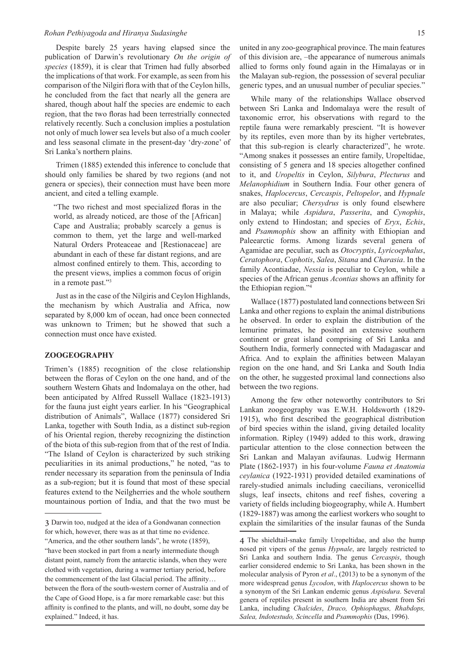Despite barely 25 years having elapsed since the publication of Darwin's revolutionary *On the origin of species* (1859), it is clear that Trimen had fully absorbed the implications of that work. For example, as seen from his comparison of the Nilgiri flora with that of the Ceylon hills, he concluded from the fact that nearly all the genera are shared, though about half the species are endemic to each region, that the two floras had been terrestrially connected relatively recently. Such a conclusion implies a postulation not only of much lower sea levels but also of a much cooler and less seasonal climate in the present-day 'dry-zone' of Sri Lanka's northern plains.

Trimen (1885) extended this inference to conclude that should only families be shared by two regions (and not genera or species), their connection must have been more ancient, and cited a telling example.

"The two richest and most specialized floras in the world, as already noticed, are those of the [African] Cape and Australia; probably scarcely a genus is common to them, yet the large and well-marked Natural Orders Proteaceae and [Restionaceae] are abundant in each of these far distant regions, and are almost confined entirely to them. This, according to the present views, implies a common focus of origin in a remote past."<sup>3</sup>

Just as in the case of the Nilgiris and Ceylon Highlands, the mechanism by which Australia and Africa, now separated by 8,000 km of ocean, had once been connected was unknown to Trimen; but he showed that such a connection must once have existed.

#### **ZOOGEOGRAPHY**

Trimen's (1885) recognition of the close relationship between the floras of Ceylon on the one hand, and of the southern Western Ghats and Indomalaya on the other, had been anticipated by Alfred Russell Wallace (1823-1913) for the fauna just eight years earlier. In his "Geographical distribution of Animals", Wallace (1877) considered Sri Lanka, together with South India, as a distinct sub-region of his Oriental region, thereby recognizing the distinction of the biota of this sub-region from that of the rest of India. "The Island of Ceylon is characterized by such striking peculiarities in its animal productions," he noted, "as to render necessary its separation from the peninsula of India as a sub-region; but it is found that most of these special features extend to the Neilgherries and the whole southern mountainous portion of India, and that the two must be

united in any zoo-geographical province. The main features of this division are, –the appearance of numerous animals allied to forms only found again in the Himalayas or in the Malayan sub-region, the possession of several peculiar generic types, and an unusual number of peculiar species."

While many of the relationships Wallace observed between Sri Lanka and Indomalaya were the result of taxonomic error, his observations with regard to the reptile fauna were remarkably prescient. "It is however by its reptiles, even more than by its higher vertebrates, that this sub-region is clearly characterized", he wrote. "Among snakes it possesses an entire family, Uropeltidae, consisting of 5 genera and 18 species altogether confined to it, and *Uropeltis* in Ceylon, *Silybura*, *Plecturus* and *Melanophidium* in Southern India. Four other genera of snakes, *Haplocercus*, *Cercaspis*, *Peltopelor*, and *Hypnale* are also peculiar; *Chersydrus* is only found elsewhere in Malaya; while *Aspidura*, *Passerita*, and *Cynophis*, only extend to Hindostan; and species of *Eryx*, *Echis*, and *Psammophis* show an affinity with Ethiopian and Paleearctic forms. Among lizards several genera of Agamidae are peculiar, such as *Otocryptis*, *Lyricoephalus*, *Ceratophora*, *Cophotis*, *Salea*, *Sitana* and *Charasia*. In the family Acontiadae, *Nessia* is peculiar to Ceylon, while a species of the African genus *Acontias* shows an affinity for the Ethiopian region."<sup>4</sup>

Wallace (1877) postulated land connections between Sri Lanka and other regions to explain the animal distributions he observed. In order to explain the distribution of the lemurine primates, he posited an extensive southern continent or great island comprising of Sri Lanka and Southern India, formerly connected with Madagascar and Africa. And to explain the affinities between Malayan region on the one hand, and Sri Lanka and South India on the other, he suggested proximal land connections also between the two regions.

Among the few other noteworthy contributors to Sri Lankan zoogeography was E.W.H. Holdsworth (1829- 1915), who first described the geographical distribution of bird species within the island, giving detailed locality information. Ripley (1949) added to this work, drawing particular attention to the close connection between the Sri Lankan and Malayan avifaunas. Ludwig Hermann Plate (1862-1937) in his four-volume *Fauna et Anatomia ceylanica* (1922-1931) provided detailed examinations of rarely-studied animals including caecilians, veronicellid slugs, leaf insects, chitons and reef fishes, covering a variety of fields including biogeography, while A. Humbert (1829-1887) was among the earliest workers who sought to explain the similarities of the insular faunas of the Sunda

<sup>3</sup> Darwin too, nudged at the idea of a Gondwanan connection for which, however, there was as at that time no evidence.

<sup>&</sup>quot;America, and the other southern lands", he wrote (1859), "have been stocked in part from a nearly intermediate though distant point, namely from the antarctic islands, when they were clothed with vegetation, during a warmer tertiary period, before the commencement of the last Glacial period. The affinity… between the flora of the south-western corner of Australia and of the Cape of Good Hope, is a far more remarkable case: but this affinity is confined to the plants, and will, no doubt, some day be explained." Indeed, it has.

<sup>4</sup> The shieldtail-snake family Uropeltidae, and also the hump nosed pit vipers of the genus *Hypnale*, are largely restricted to Sri Lanka and southern India. The genus *Cercaspis*, though earlier considered endemic to Sri Lanka, has been shown in the molecular analysis of Pyron *et al*., (2013) to be a synonym of the more widespread genus *Lycodon*, with *Haplocercus* shown to be a synonym of the Sri Lankan endemic genus *Aspisdura*. Several genera of reptiles present in southern India are absent from Sri Lanka, including *Chalcides*, *Draco, Ophiophagus, Rhabdops, Salea, Indotestudo, Scincella* and *Psammophis* (Das, 1996).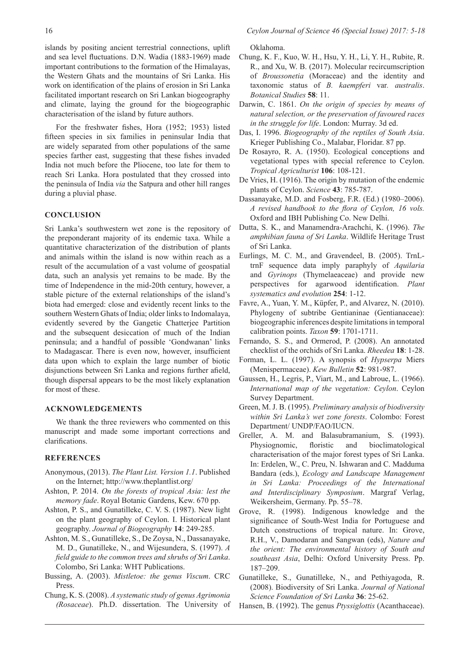For the freshwater fishes, Hora (1952; 1953) listed fifteen species in six families in peninsular India that are widely separated from other populations of the same species farther east, suggesting that these fishes invaded India not much before the Pliocene, too late for them to reach Sri Lanka. Hora postulated that they crossed into the peninsula of India *via* the Satpura and other hill ranges during a pluvial phase.

and climate, laying the ground for the biogeographic

characterisation of the island by future authors.

## **CONCLUSION**

Sri Lanka's southwestern wet zone is the repository of the preponderant majority of its endemic taxa. While a quantitative characterization of the distribution of plants and animals within the island is now within reach as a result of the accumulation of a vast volume of geospatial data, such an analysis yet remains to be made. By the time of Independence in the mid-20th century, however, a stable picture of the external relationships of the island's biota had emerged: close and evidently recent links to the southern Western Ghats of India; older links to Indomalaya, evidently severed by the Gangetic Chatterjee Partition and the subsequent desiccation of much of the Indian peninsula; and a handful of possible 'Gondwanan' links to Madagascar. There is even now, however, insufficient data upon which to explain the large number of biotic disjunctions between Sri Lanka and regions further afield, though dispersal appears to be the most likely explanation for most of these.

#### **ACKNOWLEDGEMENTS**

We thank the three reviewers who commented on this manuscript and made some important corrections and clarifications.

### **REFERENCES**

- Anonymous, (2013). *The Plant List. Version 1.1*. Published on the Internet; http://www.theplantlist.org/
- Ashton, P. 2014. *On the forests of tropical Asia: lest the memory fade*. Royal Botanic Gardens, Kew. 670 pp.
- Ashton, P. S., and Gunatilleke, C. V. S. (1987). New light on the plant geography of Ceylon. I. Historical plant geography. *Journal of Biogeography* **14**: 249-285.
- Ashton, M. S., Gunatilleke, S., De Zoysa, N., Dassanayake, M. D., Gunatilleke, N., and Wijesundera, S. (1997). *A field guide to the common trees and shrubs of Sri Lanka*. Colombo, Sri Lanka: WHT Publications.
- Bussing, A. (2003). *Mistletoe: the genus Viscum*. CRC Press.
- Chung, K. S. (2008). *A systematic study of genus Agrimonia (Rosaceae*). Ph.D. dissertation. The University of

Oklahoma.

- Chung, K. F., Kuo, W. H., Hsu, Y. H., Li, Y. H., Rubite, R. R., and Xu, W. B. (2017). Molecular recircumscription of *Broussonetia* (Moraceae) and the identity and taxonomic status of *B. kaempferi* var*. australis*. *Botanical Studies* **58**: 11.
- Darwin, C. 1861. *On the origin of species by means of natural selection, or the preservation of favoured races in the struggle for life*. London: Murray. 3d ed.
- Das, I. 1996. *Biogeography of the reptiles of South Asia*. Krieger Publishing Co., Malabar, Floridar. 87 pp.
- De Rosayro, R. A. (1950). Ecological conceptions and vegetational types with special reference to Ceylon. *Tropical Agriculturist* **106**: 108-121.
- De Vries, H. (1916). The origin by mutation of the endemic plants of Ceylon. *Science* **43**: 785-787.
- Dassanayake, M.D. and Fosberg, F.R. (Ed.) (1980–2006). *A revised handbook to the flora of Ceylon, 16 vols.* Oxford and IBH Publishing Co. New Delhi.
- Dutta, S. K., and Manamendra-Arachchi, K. (1996). *The amphibian fauna of Sri Lanka*. Wildlife Heritage Trust of Sri Lanka.
- Eurlings, M. C. M., and Gravendeel, B. (2005). TrnLtrnF sequence data imply paraphyly of *Aquilaria* and *Gyrinops* (Thymelaeaceae) and provide new perspectives for agarwood identification. *Plant systematics and evolution* **254**: 1-12.
- Favre, A., Yuan, Y. M., Küpfer, P., and Alvarez, N. (2010). Phylogeny of subtribe Gentianinae (Gentianaceae): biogeographic inferences despite limitations in temporal calibration points. *Taxon* **59**: 1701-1711.
- Fernando, S. S., and Ormerod, P. (2008). An annotated checklist of the orchids of Sri Lanka. *Rheedea* **18**: 1-28.
- Forman, L. L. (1997). A synopsis of *Hypserpa* Miers (Menispermaceae). *Kew Bulletin* **52**: 981-987.
- Gaussen, H., Legris, P., Viart, M., and Labroue, L. (1966). *International map of the vegetation: Ceylon*. Ceylon Survey Department.
- Green, M. J. B. (1995). *Preliminary analysis of biodiversity within Sri Lanka's wet zone forests*. Colombo: Forest Department/ UNDP/FAO/IUCN.
- Greller, A. M. and Balasubramanium, S. (1993). Physiognomic, floristic and bioclimatological characterisation of the major forest types of Sri Lanka. In: Erdelen, W., C. Preu, N. Ishwaran and C. Madduma Bandara (eds.), *Ecology and Landscape Management in Sri Lanka: Proceedings of the International and Interdisciplinary Symposium*. Margraf Verlag, Weikersheim, Germany. Pp. 55–78.
- Grove, R. (1998). Indigenous knowledge and the significance of South-West India for Portuguese and Dutch constructions of tropical nature. In: Grove, R.H., V., Damodaran and Sangwan (eds), *Nature and the orient: The environmental history of South and southeast Asia*, Delhi: Oxford University Press. Pp. 187–209.
- Gunatilleke, S., Gunatilleke, N., and Pethiyagoda, R. (2008). Biodiversity of Sri Lanka. *Journal of National Science Foundation of Sri Lanka* **36**: 25-62.
- Hansen, B. (1992). The genus *Ptyssiglottis* (Acanthaceae).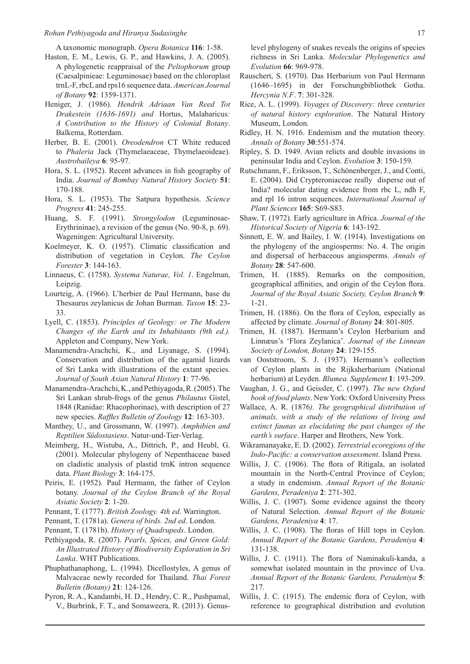A taxonomic monograph. *Opera Botanica* **116**: 1-58.

- Haston, E. M., Lewis, G. P., and Hawkins, J. A. (2005). A phylogenetic reappraisal of the *Peltophorum* group (Caesalpinieae: Leguminosae) based on the chloroplast trnL-F, rbcL and rps16 sequence data. *American Journal of Botany* **92**: 1359-1371.
- Heniger, J. (1986). *Hendrik Adriaan Van Reed Tot Drakestein (1636-1691) and* Hortus, Malabaricus*: A Contribution to the History of Colonial Botany*. Balkema, Rotterdam.
- Herber, B. E. (2001). *Oreodendron* CT White reduced to *Phaleria* Jack (Thymelaeaceae, Thymelaeoideae). *Austrobaileya* **6**: 95-97.
- Hora, S. L. (1952). Recent advances in fish geography of India. *Journal of Bombay Natural History Society* **51**: 170-188.
- Hora, S. L. (1953). The Satpura hypothesis. *Science Progress* **41**: 245-255.
- Huang, S. F. (1991). *Strongylodon* (Leguminosae-Erythrininae), a revision of the genus (No. 90-8, p. 69). Wageningen: Agricultural University.
- Koelmeyer, K. O. (1957). Climatic classification and distribution of vegetation in Ceylon. *The Ceylon Forester* **3**: 144-163.
- Linnaeus, C. (1758). *Systema Naturae, Vol. 1*. Engelman, Leipzig.
- Lourteig, A. (1966). L'herbier de Paul Hermann, base du Thesaurus zeylanicus de Johan Burman. *Taxon* **15**: 23- 33.
- Lyell, C. (1853). *Principles of Geology: or The Modern Changes of the Earth and its Inhabitants (9th ed.).* Appleton and Company, New York.
- Manamendra-Arachchi, K., and Liyanage, S. (1994). Conservation and distribution of the agamid lizards of Sri Lanka with illustrations of the extant species. *Journal of South Asian Natural History* **1**: 77-96.
- Manamendra-Arachchi, K., and Pethiyagoda, R. (2005). The Sri Lankan shrub-frogs of the genus *Philautus* Gistel, 1848 (Ranidae: Rhacophorinae), with description of 27 new species. *Raffles Bulletin of Zoology* **12**: 163-303.
- Manthey, U., and Grossmann, W. (1997). *Amphibien and Reptilien Südostasiens*. Natur-und-Tier-Verlag.
- Meimberg, H., Wistuba, A., Dittrich, P., and Heubl, G. (2001). Molecular phylogeny of Nepenthaceae based on cladistic analysis of plastid trnK intron sequence data. *Plant Biology* **3**: 164-175.
- Peiris, E. (1952). Paul Hermann, the father of Ceylon botany. *Journal of the Ceylon Branch of the Royal Asiatic Society* **2**: 1-20.
- Pennant, T. (1777). *British Zoology. 4th ed*. Warrington.
- Pennant, T. (1781a). *Genera of birds. 2nd ed*. London.
- Pennant, T. (1781b). *History of Quadrupeds*. London.
- Pethiyagoda, R. (2007). *Pearls, Spices, and Green Gold: An Illustrated History of Biodiversity Exploration in Sri Lanka*. WHT Publications.
- Phuphathanaphong, L. (1994). Dicellostyles, A genus of Malvaceae newly recorded for Thailand. *Thai Forest Bulletin (Botany)* **21**: 124-126.
- Pyron, R. A., Kandambi, H. D., Hendry, C. R., Pushpamal, V., Burbrink, F. T., and Somaweera, R. (2013). Genus-

level phylogeny of snakes reveals the origins of species richness in Sri Lanka. *Molecular Phylogenetics and Evolution* **66**: 969-978.

- Rauschert, S. (1970). Das Herbarium von Paul Hermann (1646–1695) in der Forschungbibliothek Gotha. *Hercynia N.F*. **7**: 301-328.
- Rice, A. L. (1999). *Voyages of Discovery: three centuries of natural history exploration*. The Natural History Museum, London.
- Ridley, H. N. 1916. Endemism and the mutation theory. *Annals of Botany* **30**:551-574.
- Ripley, S. D. 1949. Avian relicts and double invasions in peninsular India and Ceylon. *Evolution* **3**: 150-159.
- Rutschmann, F., Eriksson, T., Schönenberger, J., and Conti, E. (2004). Did Crypteroniaceae really disperse out of India? molecular dating evidence from rbc L, ndh F, and rpl 16 intron sequences. *International Journal of Plant Sciences* **165**: S69-S83.
- Shaw, T. (1972). Early agriculture in Africa. *Journal of the Historical Society of Nigeria* **6**: 143-192.
- Sinnott, E. W. and Bailey, I. W. (1914). Investigations on the phylogeny of the angiosperms: No. 4. The origin and dispersal of herbaceous angiosperms. *Annals of Botany* **28**: 547-600.
- Trimen, H. (1885). Remarks on the composition, geographical affinities, and origin of the Ceylon flora. *Journal of the Royal Asiatic Society, Ceylon Branch* **9**: 1-21.
- Trimen, H. (1886). On the flora of Ceylon, especially as affected by climate. *Journal of Botany* **24**: 801-805.
- Trimen, H. (1887). Hermann's Ceylon Herbarium and Linnæus's 'Flora Zeylanica'. *Journal of the Linnean Society of London, Botany* **24**: 129-155.
- van Ooststroom, S. J. (1937). Hermann's collection of Ceylon plants in the Rijksherbarium (National herbarium) at Leyden. *Blumea. Supplement* **1**: 193-209.
- Vaughan, J. G., and Geissler, C. (1997). *The new Oxford book of food plants*. New York: Oxford University Press
- Wallace, A. R. (1876*). The geographical distribution of animals, with a study of the relations of living and extinct faunas as elucidating the past changes of the earth's surface*. Harper and Brothers, New York.
- Wikramanayake, E. D. (2002). *Terrestrial ecoregions of the Indo-Pacific: a conservation assessment*. Island Press.
- Willis, J. C. (1906). The flora of Ritigala, an isolated mountain in the North-Central Province of Ceylon; a study in endemism. *Annual Report of the Botanic Gardens, Peradeniya* **2**: 271-302.
- Willis, J. C. (1907). Some evidence against the theory of Natural Selection. *Annual Report of the Botanic Gardens, Peradeniya* **4**: 17.
- Willis, J. C. (1908). The floras of Hill tops in Ceylon. *Annual Report of the Botanic Gardens, Peradeniya* **4**: 131-138.
- Willis, J. C. (1911). The flora of Naminakuli-kanda, a somewhat isolated mountain in the province of Uva. *Annual Report of the Botanic Gardens, Peradeniya* **5**: 217.
- Willis, J. C. (1915). The endemic flora of Ceylon, with reference to geographical distribution and evolution